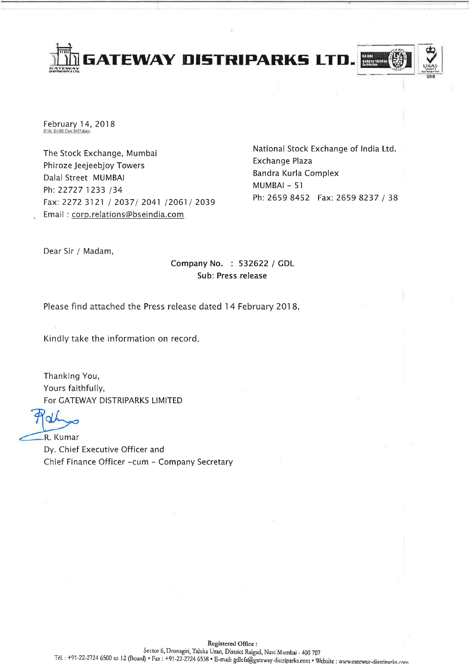**GATEWAY DISTRIPARKS LTD** 



February 14, 2018 ZASI, ExISE Corr 2017 does

The Stock Exchange, Mumbai Phiroze Jeejeebjoy Towers Dalal Street MUMBAI Ph: 22727 1233 /34 Fax: 2272 3121 / 2037/ 2041 /2061/ 2039 Email: corp.relations@bseindia.com

National Stock Exchange of India Ltd. Exchange Plaza Bandra Kurla Complex MUMBAI - 51 Ph: 2659 8452 Fax: 2659 8237 / 38

Dear Sir / Madam,

# Company No. : 532622 / GDL Sub: Press release

Please find attached the Press release dated 14 February 2018.

Kindly take the information on record.

Thanking You, Yours faithfully, For GATEWAY DISTRIPARKS LIMITED

R. Kumar

Dy. Chief Executive Officer and Chief Finance Officer -cum - Company Secretary